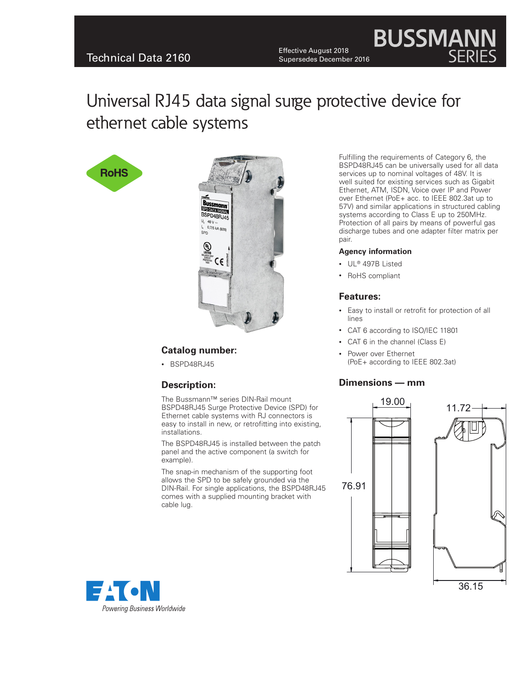Effective August 2018<br>Supersedes December 2016 Effective August 2018 Supersedes December 2016

Universal RJ45 data signal surge protective device for ethernet cable systems





# **Catalog number:**

• BSPD48RJ45

# **Description:**

The Bussmann™ series DIN-Rail mount BSPD48RJ45 Surge Protective Device (SPD) for Ethernet cable systems with RJ connectors is easy to install in new, or retrofitting into existing, installations.

The BSPD48RJ45 is installed between the patch panel and the active component (a switch for example).

The snap-in mechanism of the supporting foot allows the SPD to be safely grounded via the DIN-Rail. For single applications, the BSPD48RJ45 comes with a supplied mounting bracket with cable lug.

Fulfilling the requirements of Category 6, the BSPD48RJ45 can be universally used for all data services up to nominal voltages of 48V. It is well suited for existing services such as Gigabit Ethernet, ATM, ISDN, Voice over IP and Power over Ethernet (PoE+ acc. to IEEE 802.3at up to 57V) and similar applications in structured cabling systems according to Class E up to 250MHz. Protection of all pairs by means of powerful gas discharge tubes and one adapter filter matrix per pair.

**BUSSMAN** 

#### **Agency information**

- UL® 497B Listed
- • RoHS compliant

#### **Features:**

- • Easy to install or retrofit for protection of all lines
- CAT 6 according to ISO/IEC 11801
- CAT 6 in the channel (Class E)
- Power over Ethernet (PoE+ according to IEEE 802.3at)

### **Dimensions — mm**





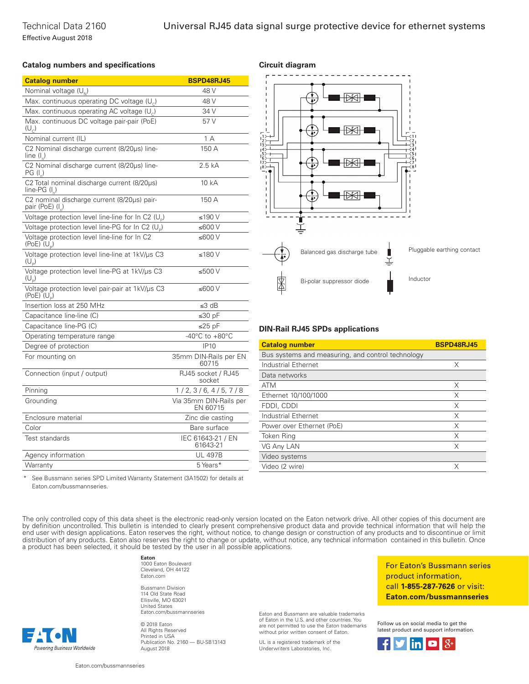#### **Catalog numbers and specifications Circuit diagram**

| <b>Catalog number</b>                                                        | <b>BSPD48RJ45</b>                    |
|------------------------------------------------------------------------------|--------------------------------------|
| Nominal voltage $(U_{N})$                                                    | 48 V                                 |
| Max. continuous operating DC voltage (U <sub>c</sub> )                       | 48 V                                 |
| Max. continuous operating AC voltage $(U_c)$                                 | 34 V                                 |
| Max. continuous DC voltage pair-pair (PoE)<br>$(U_{\scriptscriptstyle\cap})$ | 57 V                                 |
| Nominal current (IL)                                                         | 1 A                                  |
| C2 Nominal discharge current (8/20µs) line-<br>line (I)                      | 150 A                                |
| C2 Nominal discharge current (8/20µs) line-<br>PG (I_)                       | 2.5 kA                               |
| C2 Total nominal discharge current (8/20µs)<br>$line-PG (L)$                 | 10 kA                                |
| C2 nominal discharge current (8/20µs) pair-<br>pair (PoE) $(I_n)$            | 150 A                                |
| Voltage protection level line-line for In C2 (U <sub>p</sub> )               | ≤190 V                               |
| Voltage protection level line-PG for In C2 (U <sub>p</sub> )                 | ≤600 $V$                             |
| Voltage protection level line-line for In C2<br>(PoE) $(U_p)$                | ≤600 $V$                             |
| Voltage protection level line-line at 1kV/µs C3<br>$(U_{\circ})$             | ≤180 $V$                             |
| Voltage protection level line-PG at 1kV/us C3<br>$(U_p)$                     | ≤500 V                               |
| Voltage protection level pair-pair at 1kV/us C3<br>$(PoE)$ $(U_p)$           | ≤600 $V$                             |
| Insertion loss at 250 MHz                                                    | ≤3 dB                                |
| Capacitance line-line (C)                                                    | ≤30 $pF$                             |
| Capacitance line-PG (C)                                                      | ≤25 $pF$                             |
| Operating temperature range                                                  | -40 $^{\circ}$ C to +80 $^{\circ}$ C |
| Degree of protection                                                         | IP10                                 |
| For mounting on                                                              | 35mm DIN-Rails per EN<br>60715       |
| Connection (input / output)                                                  | RJ45 socket / RJ45<br>socket         |
| Pinning                                                                      | 1/2, 3/6, 4/5, 7/8                   |
| Grounding                                                                    | Via 35mm DIN-Rails per<br>EN 60715   |
| Enclosure material                                                           | Zinc die casting                     |
| Color                                                                        | Bare surface                         |
| Test standards                                                               | IEC 61643-21 / EN<br>61643-21        |
| Agency information                                                           | <b>UL 497B</b>                       |
| Warranty                                                                     | 5 Years*                             |



#### **DIN-Rail RJ45 SPDs applications**

| <b>Catalog number</b>                             | <b>BSPD48RJ45</b> |
|---------------------------------------------------|-------------------|
| Bus systems and measuring, and control technology |                   |
| Industrial Ethernet                               | X                 |
| Data networks                                     |                   |
| <b>ATM</b>                                        | X                 |
| Ethernet 10/100/1000                              | X                 |
| FDDI, CDDI                                        | X                 |
| Industrial Ethernet                               | X                 |
| Power over Ethernet (PoE)                         | X                 |
| Token Ring                                        | X                 |
| VG Any LAN                                        | X                 |
| Video systems                                     |                   |
| Video (2 wire)                                    | X                 |

See Bussmann series SPD Limited Warranty Statement (3A1502) for details at Eaton.com/bussmannseries.

The only controlled copy of this data sheet is the electronic read-only version located on the Eaton network drive. All other copies of this document are by definition uncontrolled. This bulletin is intended to clearly present comprehensive product data and provide technical information that will help the end user with design applications. Eaton reserves the right, without notice, to change design or construction of any products and to discontinue or limit distribution of any products. Eaton also reserves the right to change or update, without notice, any technical information contained in this bulletin. Once a product has been selected, it should be tested by the user in all possible applications.

**Eaton**

1000 Eaton Boulevard Cleveland, OH 44122 Eaton.com

Bussmann Division 114 Old State Road Ellisville, MO 63021 United States Eaton.com/bussmannseries

© 2018 Eaton All Rights Reserved Printed in USA Publication No. 2160 — BU-SB13143 August 2018

Eaton and Bussmann are valuable trademarks of Eaton in the U.S. and other countries. You are not permitted to use the Eaton trademarks without prior written consent of Eaton.

UL is a registered trademark of the Underwriters Laboratories, Inc.

For Eaton's Bussmann series product information, call 1-855-287-7626 or visit: Eaton.com/bussmannseries

Follow us on social media to get the latest product and support information.